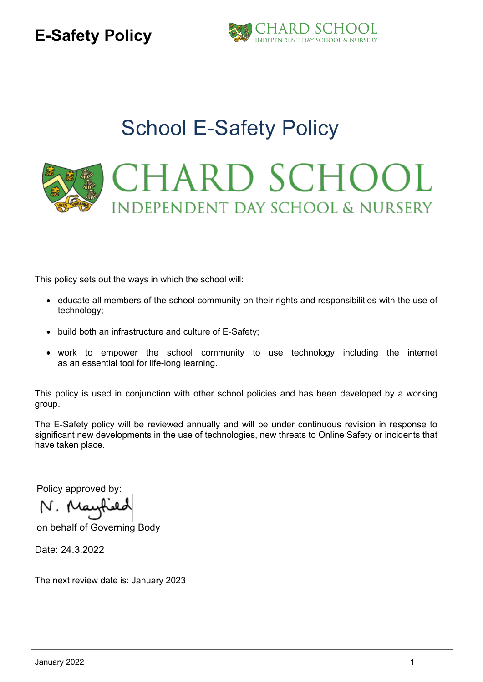

# School E-Safety Policy **CHARD SCHOOL INDEPENDENT DAY SCHOOL & NURSERY**

This policy sets out the ways in which the school will:

- educate all members of the school community on their rights and responsibilities with the use of technology;
- build both an infrastructure and culture of E-Safety;
- work to empower the school community to use technology including the internet as an essential tool for life-long learning.

This policy is used in conjunction with other school policies and has been developed by a working group.

The E-Safety policy will be reviewed annually and will be under continuous revision in response to significant new developments in the use of technologies, new threats to Online Safety or incidents that have taken place.

Policy approved by:

on behalf of Governing Body

Date: 24.3.2022

The next review date is: January 2023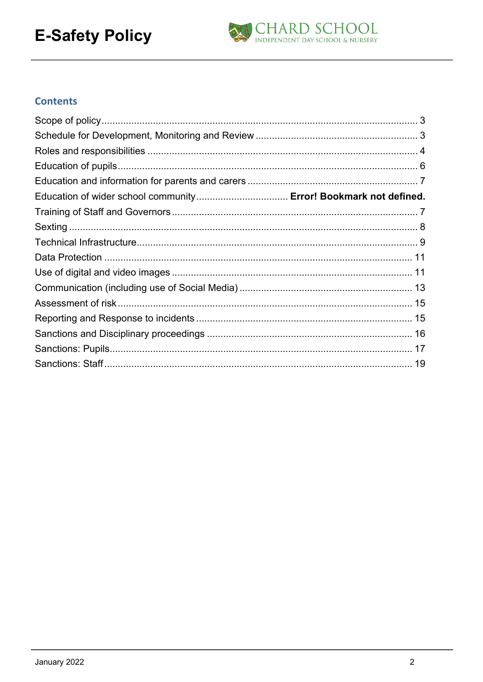

#### **Contents**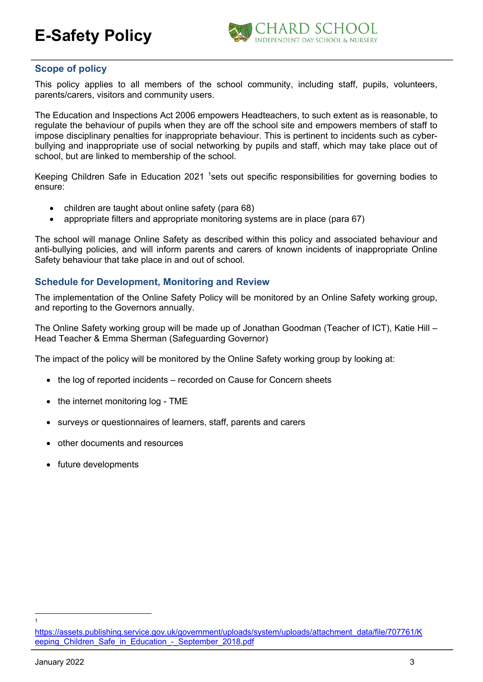

#### **Scope of policy**

This policy applies to all members of the school community, including staff, pupils, volunteers, parents/carers, visitors and community users.

The Education and Inspections Act 2006 empowers Headteachers, to such extent as is reasonable, to regulate the behaviour of pupils when they are off the school site and empowers members of staff to impose disciplinary penalties for inappropriate behaviour. This is pertinent to incidents such as cyberbullying and inappropriate use of social networking by pupils and staff, which may take place out of school, but are linked to membership of the school.

Keeping Children Safe in Education 2021 <sup>1</sup>sets out specific responsibilities for governing bodies to ensure:

- children are taught about online safety (para 68)
- appropriate filters and appropriate monitoring systems are in place (para 67)

The school will manage Online Safety as described within this policy and associated behaviour and anti-bullying policies, and will inform parents and carers of known incidents of inappropriate Online Safety behaviour that take place in and out of school.

#### **Schedule for Development, Monitoring and Review**

The implementation of the Online Safety Policy will be monitored by an Online Safety working group, and reporting to the Governors annually.

The Online Safety working group will be made up of Jonathan Goodman (Teacher of ICT), Katie Hill – Head Teacher & Emma Sherman (Safeguarding Governor)

The impact of the policy will be monitored by the Online Safety working group by looking at:

- the log of reported incidents recorded on Cause for Concern sheets
- the internet monitoring log TME
- surveys or questionnaires of learners, staff, parents and carers
- other documents and resources
- future developments

1

https://assets.publishing.service.gov.uk/government/uploads/system/uploads/attachment\_data/file/707761/K eeping Children Safe in Education - September 2018.pdf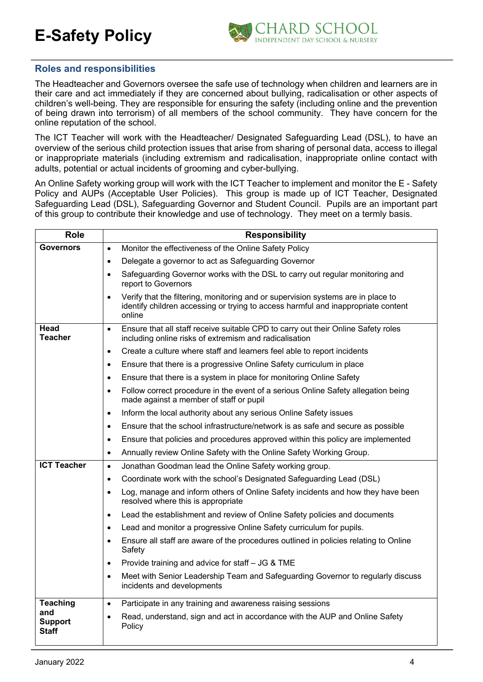

#### **Roles and responsibilities**

The Headteacher and Governors oversee the safe use of technology when children and learners are in their care and act immediately if they are concerned about bullying, radicalisation or other aspects of children's well-being. They are responsible for ensuring the safety (including online and the prevention of being drawn into terrorism) of all members of the school community. They have concern for the online reputation of the school.

The ICT Teacher will work with the Headteacher/ Designated Safeguarding Lead (DSL), to have an overview of the serious child protection issues that arise from sharing of personal data, access to illegal or inappropriate materials (including extremism and radicalisation, inappropriate online contact with adults, potential or actual incidents of grooming and cyber-bullying.

An Online Safety working group will work with the ICT Teacher to implement and monitor the E - Safety Policy and AUPs (Acceptable User Policies). This group is made up of ICT Teacher, Designated Safeguarding Lead (DSL), Safeguarding Governor and Student Council. Pupils are an important part of this group to contribute their knowledge and use of technology. They meet on a termly basis.

| <b>Role</b>                           | <b>Responsibility</b>                                                                                                                                                                        |
|---------------------------------------|----------------------------------------------------------------------------------------------------------------------------------------------------------------------------------------------|
| <b>Governors</b>                      | Monitor the effectiveness of the Online Safety Policy<br>$\bullet$                                                                                                                           |
|                                       | Delegate a governor to act as Safeguarding Governor<br>$\bullet$                                                                                                                             |
|                                       | Safeguarding Governor works with the DSL to carry out regular monitoring and<br>$\bullet$<br>report to Governors                                                                             |
|                                       | Verify that the filtering, monitoring and or supervision systems are in place to<br>$\bullet$<br>identify children accessing or trying to access harmful and inappropriate content<br>online |
| Head<br>Teacher                       | Ensure that all staff receive suitable CPD to carry out their Online Safety roles<br>$\bullet$<br>including online risks of extremism and radicalisation                                     |
|                                       | Create a culture where staff and learners feel able to report incidents<br>$\bullet$                                                                                                         |
|                                       | Ensure that there is a progressive Online Safety curriculum in place<br>$\bullet$                                                                                                            |
|                                       | Ensure that there is a system in place for monitoring Online Safety<br>$\bullet$                                                                                                             |
|                                       | Follow correct procedure in the event of a serious Online Safety allegation being<br>$\bullet$<br>made against a member of staff or pupil                                                    |
|                                       | Inform the local authority about any serious Online Safety issues<br>$\bullet$                                                                                                               |
|                                       | Ensure that the school infrastructure/network is as safe and secure as possible<br>$\bullet$                                                                                                 |
|                                       | Ensure that policies and procedures approved within this policy are implemented<br>$\bullet$                                                                                                 |
|                                       | Annually review Online Safety with the Online Safety Working Group.<br>$\bullet$                                                                                                             |
| <b>ICT Teacher</b>                    | Jonathan Goodman lead the Online Safety working group.<br>$\bullet$                                                                                                                          |
|                                       | Coordinate work with the school's Designated Safeguarding Lead (DSL)<br>$\bullet$                                                                                                            |
|                                       | Log, manage and inform others of Online Safety incidents and how they have been<br>$\bullet$<br>resolved where this is appropriate                                                           |
|                                       | Lead the establishment and review of Online Safety policies and documents<br>$\bullet$                                                                                                       |
|                                       | Lead and monitor a progressive Online Safety curriculum for pupils.<br>$\bullet$                                                                                                             |
|                                       | Ensure all staff are aware of the procedures outlined in policies relating to Online<br>$\bullet$<br>Safety                                                                                  |
|                                       | Provide training and advice for staff - JG & TME<br>$\bullet$                                                                                                                                |
|                                       | Meet with Senior Leadership Team and Safeguarding Governor to regularly discuss<br>$\bullet$<br>incidents and developments                                                                   |
| <b>Teaching</b>                       | Participate in any training and awareness raising sessions<br>$\bullet$                                                                                                                      |
| and<br><b>Support</b><br><b>Staff</b> | Read, understand, sign and act in accordance with the AUP and Online Safety<br>$\bullet$<br>Policy                                                                                           |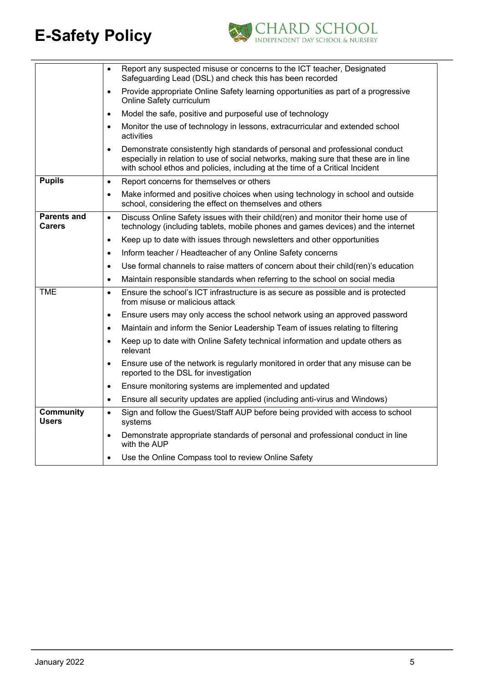

|                                     | Report any suspected misuse or concerns to the ICT teacher, Designated<br>$\bullet$<br>Safeguarding Lead (DSL) and check this has been recorded                                                                                                                   |
|-------------------------------------|-------------------------------------------------------------------------------------------------------------------------------------------------------------------------------------------------------------------------------------------------------------------|
|                                     | Provide appropriate Online Safety learning opportunities as part of a progressive<br>$\bullet$<br>Online Safety curriculum                                                                                                                                        |
|                                     | Model the safe, positive and purposeful use of technology<br>$\bullet$                                                                                                                                                                                            |
|                                     | Monitor the use of technology in lessons, extracurricular and extended school<br>$\bullet$<br>activities                                                                                                                                                          |
|                                     | Demonstrate consistently high standards of personal and professional conduct<br>$\bullet$<br>especially in relation to use of social networks, making sure that these are in line<br>with school ethos and policies, including at the time of a Critical Incident |
| <b>Pupils</b>                       | Report concerns for themselves or others<br>$\bullet$                                                                                                                                                                                                             |
|                                     | Make informed and positive choices when using technology in school and outside<br>$\bullet$<br>school, considering the effect on themselves and others                                                                                                            |
| <b>Parents and</b><br><b>Carers</b> | Discuss Online Safety issues with their child(ren) and monitor their home use of<br>$\bullet$<br>technology (including tablets, mobile phones and games devices) and the internet                                                                                 |
|                                     | Keep up to date with issues through newsletters and other opportunities<br>$\bullet$                                                                                                                                                                              |
|                                     | Inform teacher / Headteacher of any Online Safety concerns<br>$\bullet$                                                                                                                                                                                           |
|                                     | Use formal channels to raise matters of concern about their child(ren)'s education<br>$\bullet$                                                                                                                                                                   |
|                                     | Maintain responsible standards when referring to the school on social media<br>$\bullet$                                                                                                                                                                          |
| <b>TME</b>                          | Ensure the school's ICT infrastructure is as secure as possible and is protected<br>$\bullet$<br>from misuse or malicious attack                                                                                                                                  |
|                                     | Ensure users may only access the school network using an approved password<br>$\bullet$                                                                                                                                                                           |
|                                     | Maintain and inform the Senior Leadership Team of issues relating to filtering<br>$\bullet$                                                                                                                                                                       |
|                                     | Keep up to date with Online Safety technical information and update others as<br>$\bullet$<br>relevant                                                                                                                                                            |
|                                     | Ensure use of the network is regularly monitored in order that any misuse can be<br>$\bullet$<br>reported to the DSL for investigation                                                                                                                            |
|                                     | Ensure monitoring systems are implemented and updated<br>$\bullet$                                                                                                                                                                                                |
|                                     | Ensure all security updates are applied (including anti-virus and Windows)<br>$\bullet$                                                                                                                                                                           |
| <b>Community</b><br><b>Users</b>    | Sign and follow the Guest/Staff AUP before being provided with access to school<br>$\bullet$<br>systems                                                                                                                                                           |
|                                     | Demonstrate appropriate standards of personal and professional conduct in line<br>$\bullet$<br>with the AUP                                                                                                                                                       |
|                                     | Use the Online Compass tool to review Online Safety<br>$\bullet$                                                                                                                                                                                                  |
|                                     |                                                                                                                                                                                                                                                                   |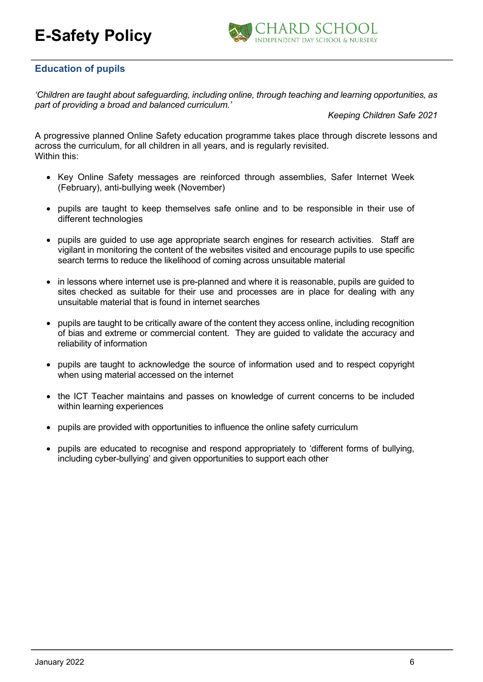

#### **Education of pupils**

*'Children are taught about safeguarding, including online, through teaching and learning opportunities, as part of providing a broad and balanced curriculum.'*

*Keeping Children Safe 2021*

A progressive planned Online Safety education programme takes place through discrete lessons and across the curriculum, for all children in all years, and is regularly revisited. Within this:

- Key Online Safety messages are reinforced through assemblies, Safer Internet Week (February), anti-bullying week (November)
- pupils are taught to keep themselves safe online and to be responsible in their use of different technologies
- pupils are guided to use age appropriate search engines for research activities. Staff are vigilant in monitoring the content of the websites visited and encourage pupils to use specific search terms to reduce the likelihood of coming across unsuitable material
- in lessons where internet use is pre-planned and where it is reasonable, pupils are quided to sites checked as suitable for their use and processes are in place for dealing with any unsuitable material that is found in internet searches
- pupils are taught to be critically aware of the content they access online, including recognition of bias and extreme or commercial content. They are guided to validate the accuracy and reliability of information
- pupils are taught to acknowledge the source of information used and to respect copyright when using material accessed on the internet
- the ICT Teacher maintains and passes on knowledge of current concerns to be included within learning experiences
- pupils are provided with opportunities to influence the online safety curriculum
- pupils are educated to recognise and respond appropriately to 'different forms of bullying, including cyber-bullying' and given opportunities to support each other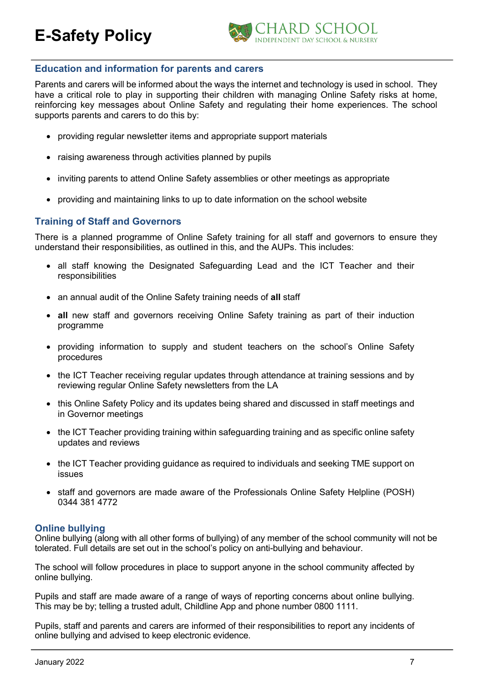

#### **Education and information for parents and carers**

Parents and carers will be informed about the ways the internet and technology is used in school. They have a critical role to play in supporting their children with managing Online Safety risks at home, reinforcing key messages about Online Safety and regulating their home experiences. The school supports parents and carers to do this by:

- providing regular newsletter items and appropriate support materials
- raising awareness through activities planned by pupils
- inviting parents to attend Online Safety assemblies or other meetings as appropriate
- providing and maintaining links to up to date information on the school website

#### **Training of Staff and Governors**

There is a planned programme of Online Safety training for all staff and governors to ensure they understand their responsibilities, as outlined in this, and the AUPs. This includes:

- all staff knowing the Designated Safeguarding Lead and the ICT Teacher and their responsibilities
- an annual audit of the Online Safety training needs of **all** staff
- **all** new staff and governors receiving Online Safety training as part of their induction programme
- providing information to supply and student teachers on the school's Online Safety procedures
- the ICT Teacher receiving regular updates through attendance at training sessions and by reviewing regular Online Safety newsletters from the LA
- this Online Safety Policy and its updates being shared and discussed in staff meetings and in Governor meetings
- the ICT Teacher providing training within safeguarding training and as specific online safety updates and reviews
- the ICT Teacher providing guidance as required to individuals and seeking TME support on issues
- staff and governors are made aware of the Professionals Online Safety Helpline (POSH) 0344 381 4772

#### **Online bullying**

Online bullying (along with all other forms of bullying) of any member of the school community will not be tolerated. Full details are set out in the school's policy on anti-bullying and behaviour.

The school will follow procedures in place to support anyone in the school community affected by online bullying.

Pupils and staff are made aware of a range of ways of reporting concerns about online bullying. This may be by; telling a trusted adult, Childline App and phone number 0800 1111.

Pupils, staff and parents and carers are informed of their responsibilities to report any incidents of online bullying and advised to keep electronic evidence.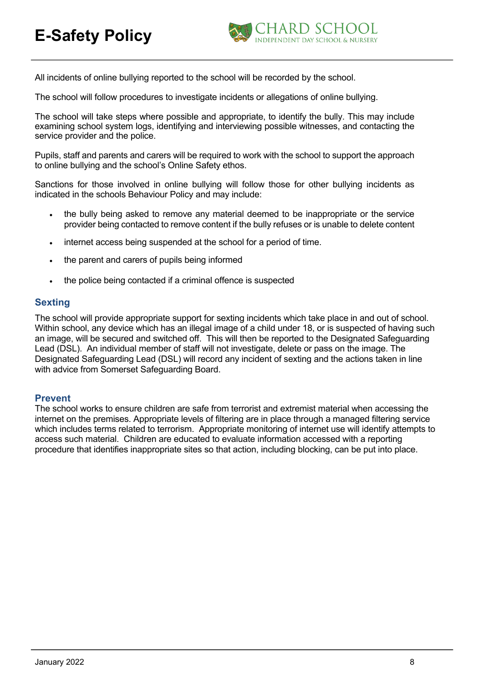

All incidents of online bullying reported to the school will be recorded by the school.

The school will follow procedures to investigate incidents or allegations of online bullying.

The school will take steps where possible and appropriate, to identify the bully. This may include examining school system logs, identifying and interviewing possible witnesses, and contacting the service provider and the police.

Pupils, staff and parents and carers will be required to work with the school to support the approach to online bullying and the school's Online Safety ethos.

Sanctions for those involved in online bullying will follow those for other bullying incidents as indicated in the schools Behaviour Policy and may include:

- the bully being asked to remove any material deemed to be inappropriate or the service provider being contacted to remove content if the bully refuses or is unable to delete content
- internet access being suspended at the school for a period of time.
- the parent and carers of pupils being informed
- the police being contacted if a criminal offence is suspected

#### **Sexting**

The school will provide appropriate support for sexting incidents which take place in and out of school. Within school, any device which has an illegal image of a child under 18, or is suspected of having such an image, will be secured and switched off. This will then be reported to the Designated Safeguarding Lead (DSL). An individual member of staff will not investigate, delete or pass on the image. The Designated Safeguarding Lead (DSL) will record any incident of sexting and the actions taken in line with advice from Somerset Safeguarding Board.

#### **Prevent**

The school works to ensure children are safe from terrorist and extremist material when accessing the internet on the premises. Appropriate levels of filtering are in place through a managed filtering service which includes terms related to terrorism. Appropriate monitoring of internet use will identify attempts to access such material. Children are educated to evaluate information accessed with a reporting procedure that identifies inappropriate sites so that action, including blocking, can be put into place.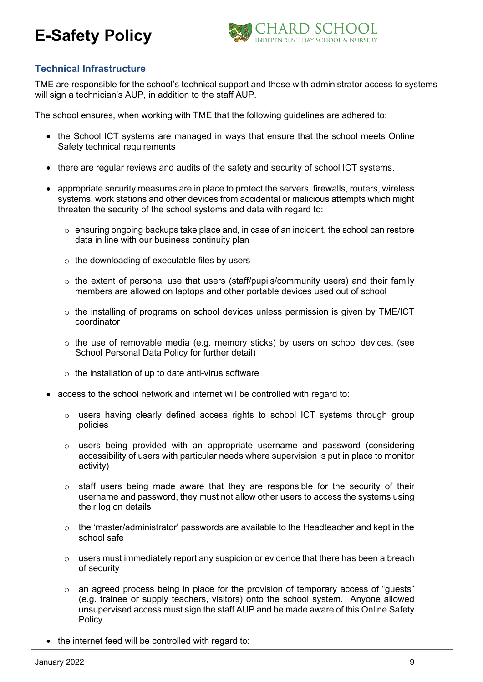

#### **Technical Infrastructure**

TME are responsible for the school's technical support and those with administrator access to systems will sign a technician's AUP, in addition to the staff AUP.

The school ensures, when working with TME that the following guidelines are adhered to:

- the School ICT systems are managed in ways that ensure that the school meets Online Safety technical requirements
- there are regular reviews and audits of the safety and security of school ICT systems.
- appropriate security measures are in place to protect the servers, firewalls, routers, wireless systems, work stations and other devices from accidental or malicious attempts which might threaten the security of the school systems and data with regard to:
	- $\circ$  ensuring ongoing backups take place and, in case of an incident, the school can restore data in line with our business continuity plan
	- o the downloading of executable files by users
	- $\circ$  the extent of personal use that users (staff/pupils/community users) and their family members are allowed on laptops and other portable devices used out of school
	- $\circ$  the installing of programs on school devices unless permission is given by TME/ICT coordinator
	- o the use of removable media (e.g. memory sticks) by users on school devices. (see School Personal Data Policy for further detail)
	- $\circ$  the installation of up to date anti-virus software
- access to the school network and internet will be controlled with regard to:
	- o users having clearly defined access rights to school ICT systems through group policies
	- o users being provided with an appropriate username and password (considering accessibility of users with particular needs where supervision is put in place to monitor activity)
	- $\circ$  staff users being made aware that they are responsible for the security of their username and password, they must not allow other users to access the systems using their log on details
	- $\circ$  the 'master/administrator' passwords are available to the Headteacher and kept in the school safe
	- o users must immediately report any suspicion or evidence that there has been a breach of security
	- o an agreed process being in place for the provision of temporary access of "guests" (e.g. trainee or supply teachers, visitors) onto the school system. Anyone allowed unsupervised access must sign the staff AUP and be made aware of this Online Safety **Policy**
- the internet feed will be controlled with regard to: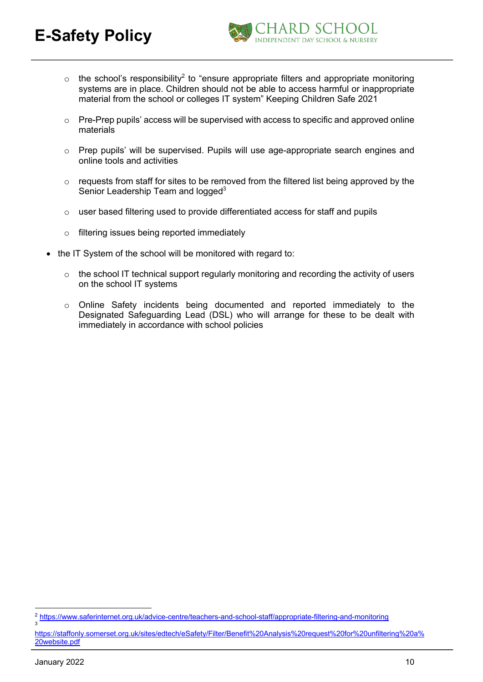

- $\circ$  the school's responsibility<sup>2</sup> to "ensure appropriate filters and appropriate monitoring systems are in place. Children should not be able to access harmful or inappropriate material from the school or colleges IT system" Keeping Children Safe 2021
- o Pre-Prep pupils' access will be supervised with access to specific and approved online materials
- o Prep pupils' will be supervised. Pupils will use age-appropriate search engines and online tools and activities
- o requests from staff for sites to be removed from the filtered list being approved by the Senior Leadership Team and logged<sup>3</sup>
- $\circ$  user based filtering used to provide differentiated access for staff and pupils
- o filtering issues being reported immediately
- the IT System of the school will be monitored with regard to:
	- o the school IT technical support regularly monitoring and recording the activity of users on the school IT systems
	- o Online Safety incidents being documented and reported immediately to the Designated Safeguarding Lead (DSL) who will arrange for these to be dealt with immediately in accordance with school policies

3

<sup>2</sup> https://www.saferinternet.org.uk/advice-centre/teachers-and-school-staff/appropriate-filtering-and-monitoring

https://staffonly.somerset.org.uk/sites/edtech/eSafety/Filter/Benefit%20Analysis%20request%20for%20unfiltering%20a% 20website.pdf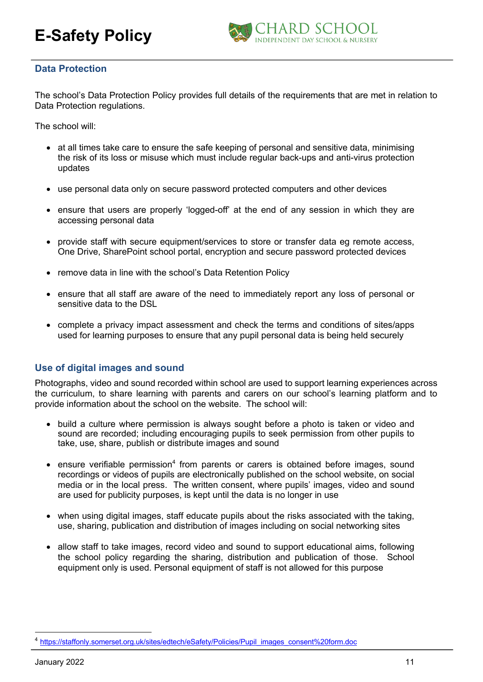

#### **Data Protection**

The school's Data Protection Policy provides full details of the requirements that are met in relation to Data Protection regulations.

The school will:

- at all times take care to ensure the safe keeping of personal and sensitive data, minimising the risk of its loss or misuse which must include regular back-ups and anti-virus protection updates
- use personal data only on secure password protected computers and other devices
- ensure that users are properly 'logged-off' at the end of any session in which they are accessing personal data
- provide staff with secure equipment/services to store or transfer data eg remote access, One Drive, SharePoint school portal, encryption and secure password protected devices
- remove data in line with the school's Data Retention Policy
- ensure that all staff are aware of the need to immediately report any loss of personal or sensitive data to the DSL
- complete a privacy impact assessment and check the terms and conditions of sites/apps used for learning purposes to ensure that any pupil personal data is being held securely

#### **Use of digital images and sound**

Photographs, video and sound recorded within school are used to support learning experiences across the curriculum, to share learning with parents and carers on our school's learning platform and to provide information about the school on the website. The school will:

- build a culture where permission is always sought before a photo is taken or video and sound are recorded; including encouraging pupils to seek permission from other pupils to take, use, share, publish or distribute images and sound
- ensure verifiable permission<sup>4</sup> from parents or carers is obtained before images, sound recordings or videos of pupils are electronically published on the school website, on social media or in the local press. The written consent, where pupils' images, video and sound are used for publicity purposes, is kept until the data is no longer in use
- when using digital images, staff educate pupils about the risks associated with the taking, use, sharing, publication and distribution of images including on social networking sites
- allow staff to take images, record video and sound to support educational aims, following the school policy regarding the sharing, distribution and publication of those. School equipment only is used. Personal equipment of staff is not allowed for this purpose

<sup>4</sup> https://staffonly.somerset.org.uk/sites/edtech/eSafety/Policies/Pupil\_images\_consent%20form.doc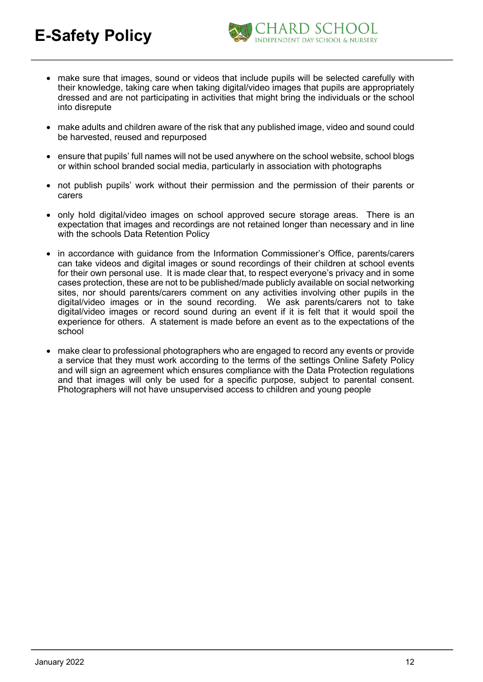

- make sure that images, sound or videos that include pupils will be selected carefully with their knowledge, taking care when taking digital/video images that pupils are appropriately dressed and are not participating in activities that might bring the individuals or the school into disrepute
- make adults and children aware of the risk that any published image, video and sound could be harvested, reused and repurposed
- ensure that pupils' full names will not be used anywhere on the school website, school blogs or within school branded social media, particularly in association with photographs
- not publish pupils' work without their permission and the permission of their parents or carers
- only hold digital/video images on school approved secure storage areas. There is an expectation that images and recordings are not retained longer than necessary and in line with the schools Data Retention Policy
- in accordance with guidance from the Information Commissioner's Office, parents/carers can take videos and digital images or sound recordings of their children at school events for their own personal use. It is made clear that, to respect everyone's privacy and in some cases protection, these are not to be published/made publicly available on social networking sites, nor should parents/carers comment on any activities involving other pupils in the digital/video images or in the sound recording. We ask parents/carers not to take digital/video images or record sound during an event if it is felt that it would spoil the experience for others. A statement is made before an event as to the expectations of the school
- make clear to professional photographers who are engaged to record any events or provide a service that they must work according to the terms of the settings Online Safety Policy and will sign an agreement which ensures compliance with the Data Protection regulations and that images will only be used for a specific purpose, subject to parental consent. Photographers will not have unsupervised access to children and young people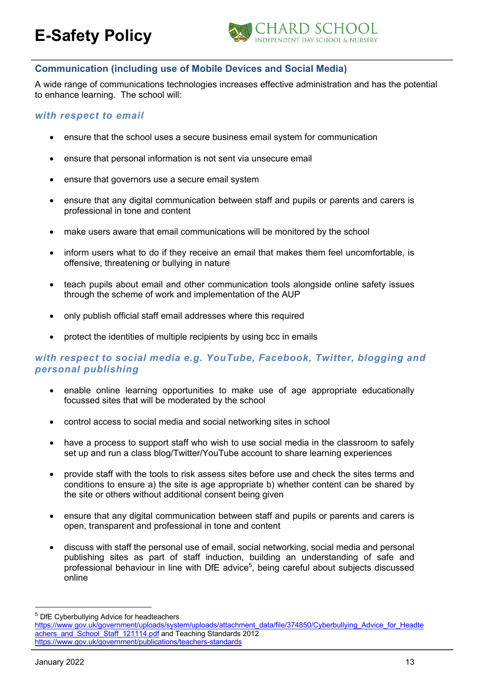

#### **Communication (including use of Mobile Devices and Social Media)**

A wide range of communications technologies increases effective administration and has the potential to enhance learning. The school will:

#### *with respect to email*

- ensure that the school uses a secure business email system for communication
- ensure that personal information is not sent via unsecure email
- ensure that governors use a secure email system
- ensure that any digital communication between staff and pupils or parents and carers is professional in tone and content
- make users aware that email communications will be monitored by the school
- inform users what to do if they receive an email that makes them feel uncomfortable, is offensive, threatening or bullying in nature
- teach pupils about email and other communication tools alongside online safety issues through the scheme of work and implementation of the AUP
- only publish official staff email addresses where this required
- protect the identities of multiple recipients by using bcc in emails

#### *with respect to social media e.g. YouTube, Facebook, Twitter, blogging and personal publishing*

- enable online learning opportunities to make use of age appropriate educationally focussed sites that will be moderated by the school
- control access to social media and social networking sites in school
- have a process to support staff who wish to use social media in the classroom to safely set up and run a class blog/Twitter/YouTube account to share learning experiences
- provide staff with the tools to risk assess sites before use and check the sites terms and conditions to ensure a) the site is age appropriate b) whether content can be shared by the site or others without additional consent being given
- ensure that any digital communication between staff and pupils or parents and carers is open, transparent and professional in tone and content
- discuss with staff the personal use of email, social networking, social media and personal publishing sites as part of staff induction, building an understanding of safe and professional behaviour in line with DfE advice<sup>5</sup>, being careful about subjects discussed online

<sup>&</sup>lt;sup>5</sup> DfE Cyberbullying Advice for headteachers

https://www.gov.uk/government/uploads/system/uploads/attachment\_data/file/374850/Cyberbullying\_Advice\_for\_Headte achers\_and\_School\_Staff\_121114.pdf and Teaching Standards 2012 https://www.gov.uk/government/publications/teachers-standards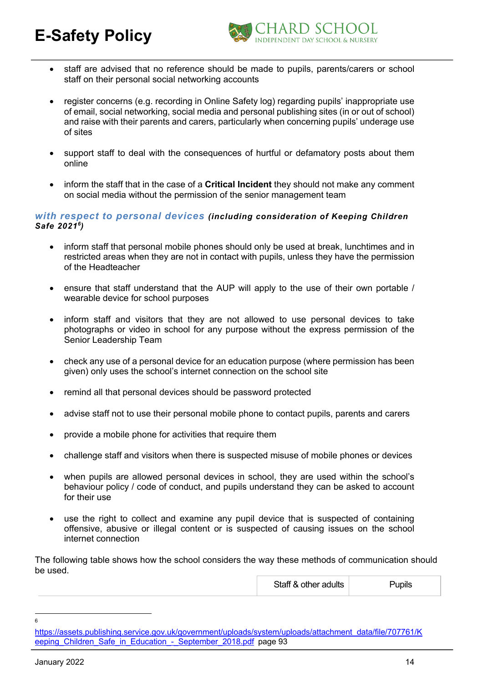

- staff are advised that no reference should be made to pupils, parents/carers or school staff on their personal social networking accounts
- register concerns (e.g. recording in Online Safety log) regarding pupils' inappropriate use of email, social networking, social media and personal publishing sites (in or out of school) and raise with their parents and carers, particularly when concerning pupils' underage use of sites
- support staff to deal with the consequences of hurtful or defamatory posts about them online
- inform the staff that in the case of a **Critical Incident** they should not make any comment on social media without the permission of the senior management team

#### *with respect to personal devices (including consideration of Keeping Children Safe 20216)*

- inform staff that personal mobile phones should only be used at break, lunchtimes and in restricted areas when they are not in contact with pupils, unless they have the permission of the Headteacher
- ensure that staff understand that the AUP will apply to the use of their own portable / wearable device for school purposes
- inform staff and visitors that they are not allowed to use personal devices to take photographs or video in school for any purpose without the express permission of the Senior Leadership Team
- check any use of a personal device for an education purpose (where permission has been given) only uses the school's internet connection on the school site
- remind all that personal devices should be password protected
- advise staff not to use their personal mobile phone to contact pupils, parents and carers
- provide a mobile phone for activities that require them
- challenge staff and visitors when there is suspected misuse of mobile phones or devices
- when pupils are allowed personal devices in school, they are used within the school's behaviour policy / code of conduct, and pupils understand they can be asked to account for their use
- use the right to collect and examine any pupil device that is suspected of containing offensive, abusive or illegal content or is suspected of causing issues on the school internet connection

The following table shows how the school considers the way these methods of communication should be used.

| Staff & other adults | Pupils |
|----------------------|--------|
|----------------------|--------|

<sup>6</sup>

https://assets.publishing.service.gov.uk/government/uploads/system/uploads/attachment\_data/file/707761/K eeping Children Safe in Education - September 2018.pdf page 93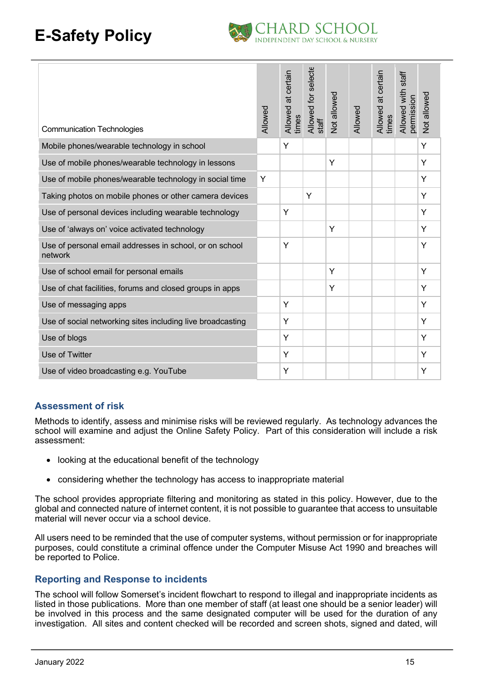

| <b>Communication Technologies</b>                                  | Allowed | Allowed at certain<br>times | Allowed for selecte<br>$\frac{1}{2}$ | Not allowed | Allowed | Allowed at certain<br>times | Allowed with staff<br>permission | Not allowed |
|--------------------------------------------------------------------|---------|-----------------------------|--------------------------------------|-------------|---------|-----------------------------|----------------------------------|-------------|
| Mobile phones/wearable technology in school                        |         | Y                           |                                      |             |         |                             |                                  | Y           |
| Use of mobile phones/wearable technology in lessons                |         |                             |                                      | Y           |         |                             |                                  | Y           |
| Use of mobile phones/wearable technology in social time            | Y       |                             |                                      |             |         |                             |                                  | Y           |
| Taking photos on mobile phones or other camera devices             |         |                             | Y                                    |             |         |                             |                                  | Y           |
| Use of personal devices including wearable technology              |         | Y                           |                                      |             |         |                             |                                  | Y           |
| Use of 'always on' voice activated technology                      |         |                             |                                      | Y           |         |                             |                                  | Y           |
| Use of personal email addresses in school, or on school<br>network |         | Y                           |                                      |             |         |                             |                                  | Y           |
| Use of school email for personal emails                            |         |                             |                                      | Y           |         |                             |                                  | Y           |
| Use of chat facilities, forums and closed groups in apps           |         |                             |                                      | Y           |         |                             |                                  | Y           |
| Use of messaging apps                                              |         | Y                           |                                      |             |         |                             |                                  | Y           |
| Use of social networking sites including live broadcasting         |         | Y                           |                                      |             |         |                             |                                  | Y           |
| Use of blogs                                                       |         | Y                           |                                      |             |         |                             |                                  | Y           |
| Use of Twitter                                                     |         | Y                           |                                      |             |         |                             |                                  | Y           |
| Use of video broadcasting e.g. YouTube                             |         | Υ                           |                                      |             |         |                             |                                  | Y           |

#### **Assessment of risk**

Methods to identify, assess and minimise risks will be reviewed regularly. As technology advances the school will examine and adjust the Online Safety Policy. Part of this consideration will include a risk assessment:

- looking at the educational benefit of the technology
- considering whether the technology has access to inappropriate material

The school provides appropriate filtering and monitoring as stated in this policy. However, due to the global and connected nature of internet content, it is not possible to guarantee that access to unsuitable material will never occur via a school device.

All users need to be reminded that the use of computer systems, without permission or for inappropriate purposes, could constitute a criminal offence under the Computer Misuse Act 1990 and breaches will be reported to Police.

#### **Reporting and Response to incidents**

The school will follow Somerset's incident flowchart to respond to illegal and inappropriate incidents as listed in those publications. More than one member of staff (at least one should be a senior leader) will be involved in this process and the same designated computer will be used for the duration of any investigation. All sites and content checked will be recorded and screen shots, signed and dated, will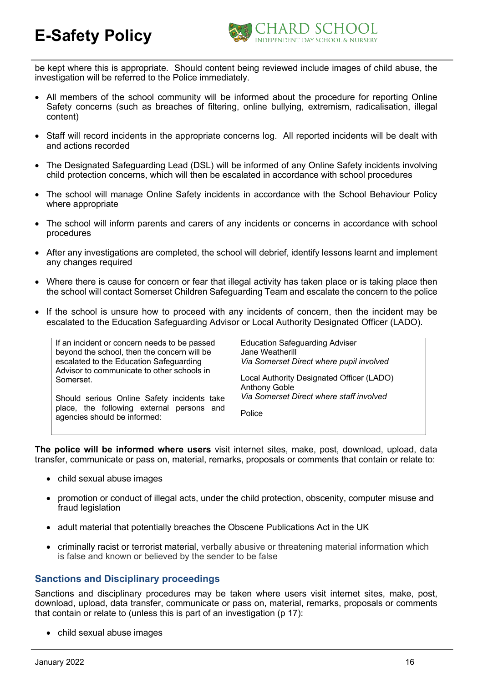

be kept where this is appropriate. Should content being reviewed include images of child abuse, the investigation will be referred to the Police immediately.

- All members of the school community will be informed about the procedure for reporting Online Safety concerns (such as breaches of filtering, online bullying, extremism, radicalisation, illegal content)
- Staff will record incidents in the appropriate concerns log. All reported incidents will be dealt with and actions recorded
- The Designated Safeguarding Lead (DSL) will be informed of any Online Safety incidents involving child protection concerns, which will then be escalated in accordance with school procedures
- The school will manage Online Safety incidents in accordance with the School Behaviour Policy where appropriate
- The school will inform parents and carers of any incidents or concerns in accordance with school procedures
- After any investigations are completed, the school will debrief, identify lessons learnt and implement any changes required
- Where there is cause for concern or fear that illegal activity has taken place or is taking place then the school will contact Somerset Children Safeguarding Team and escalate the concern to the police
- If the school is unsure how to proceed with any incidents of concern, then the incident may be escalated to the Education Safeguarding Advisor or Local Authority Designated Officer (LADO).

**The police will be informed where users** visit internet sites, make, post, download, upload, data transfer, communicate or pass on, material, remarks, proposals or comments that contain or relate to:

- child sexual abuse images
- promotion or conduct of illegal acts, under the child protection, obscenity, computer misuse and fraud legislation
- adult material that potentially breaches the Obscene Publications Act in the UK
- criminally racist or terrorist material, verbally abusive or threatening material information which is false and known or believed by the sender to be false

#### **Sanctions and Disciplinary proceedings**

Sanctions and disciplinary procedures may be taken where users visit internet sites, make, post, download, upload, data transfer, communicate or pass on, material, remarks, proposals or comments that contain or relate to (unless this is part of an investigation (p 17):

• child sexual abuse images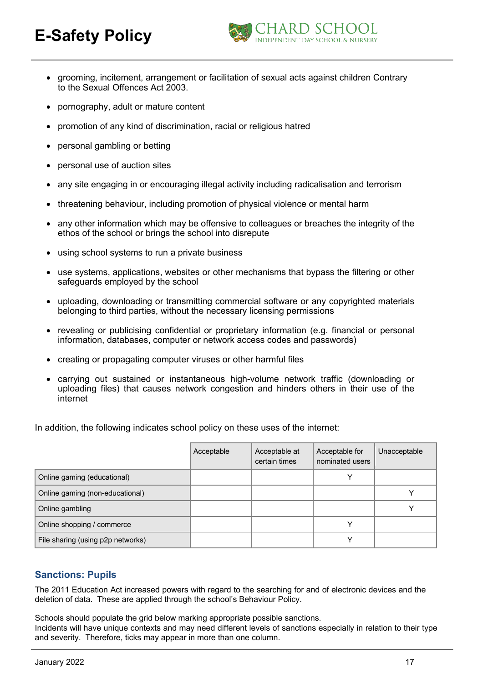

- grooming, incitement, arrangement or facilitation of sexual acts against children Contrary to the Sexual Offences Act 2003.
- pornography, adult or mature content
- promotion of any kind of discrimination, racial or religious hatred
- personal gambling or betting
- personal use of auction sites
- any site engaging in or encouraging illegal activity including radicalisation and terrorism
- threatening behaviour, including promotion of physical violence or mental harm
- any other information which may be offensive to colleagues or breaches the integrity of the ethos of the school or brings the school into disrepute
- using school systems to run a private business
- use systems, applications, websites or other mechanisms that bypass the filtering or other safeguards employed by the school
- uploading, downloading or transmitting commercial software or any copyrighted materials belonging to third parties, without the necessary licensing permissions
- revealing or publicising confidential or proprietary information (e.g. financial or personal information, databases, computer or network access codes and passwords)
- creating or propagating computer viruses or other harmful files
- carrying out sustained or instantaneous high-volume network traffic (downloading or uploading files) that causes network congestion and hinders others in their use of the internet

In addition, the following indicates school policy on these uses of the internet:

|                                   | Acceptable | Acceptable at<br>certain times | Acceptable for<br>nominated users | Unacceptable |
|-----------------------------------|------------|--------------------------------|-----------------------------------|--------------|
| Online gaming (educational)       |            |                                | v                                 |              |
| Online gaming (non-educational)   |            |                                |                                   |              |
| Online gambling                   |            |                                |                                   |              |
| Online shopping / commerce        |            |                                | ν                                 |              |
| File sharing (using p2p networks) |            |                                | v                                 |              |

#### **Sanctions: Pupils**

The 2011 Education Act increased powers with regard to the searching for and of electronic devices and the deletion of data. These are applied through the school's Behaviour Policy.

Schools should populate the grid below marking appropriate possible sanctions. Incidents will have unique contexts and may need different levels of sanctions especially in relation to their type and severity. Therefore, ticks may appear in more than one column.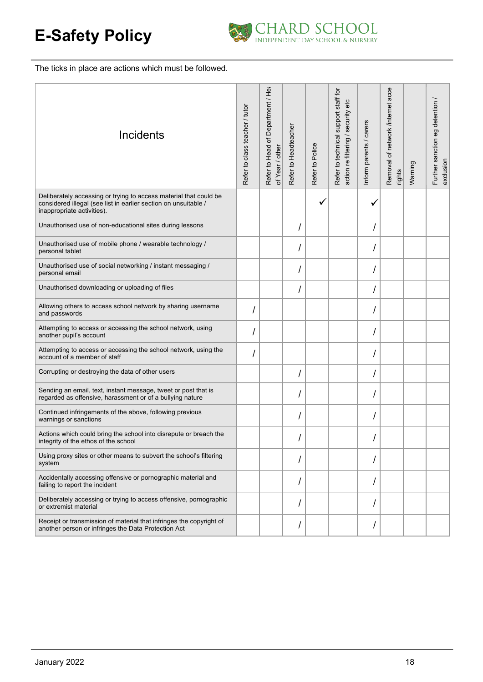

The ticks in place are actions which must be followed.

| Incidents                                                                                                                                                          | Refer to class teacher / tutor | Refer to Head of Department / Hea<br>of Year / other | Refer to Headteacher | Refer to Police | Refer to technical support staff for<br>action re filtering / security etc | Inform parents / carers | Removal of network /internet acces<br>rights | Warning | Further sanction eg detention /<br>exclusion |
|--------------------------------------------------------------------------------------------------------------------------------------------------------------------|--------------------------------|------------------------------------------------------|----------------------|-----------------|----------------------------------------------------------------------------|-------------------------|----------------------------------------------|---------|----------------------------------------------|
| Deliberately accessing or trying to access material that could be<br>considered illegal (see list in earlier section on unsuitable /<br>inappropriate activities). |                                |                                                      |                      |                 |                                                                            |                         |                                              |         |                                              |
| Unauthorised use of non-educational sites during lessons                                                                                                           |                                |                                                      |                      |                 |                                                                            |                         |                                              |         |                                              |
| Unauthorised use of mobile phone / wearable technology /<br>personal tablet                                                                                        |                                |                                                      |                      |                 |                                                                            |                         |                                              |         |                                              |
| Unauthorised use of social networking / instant messaging /<br>personal email                                                                                      |                                |                                                      |                      |                 |                                                                            |                         |                                              |         |                                              |
| Unauthorised downloading or uploading of files                                                                                                                     |                                |                                                      |                      |                 |                                                                            |                         |                                              |         |                                              |
| Allowing others to access school network by sharing username<br>and passwords                                                                                      |                                |                                                      |                      |                 |                                                                            |                         |                                              |         |                                              |
| Attempting to access or accessing the school network, using<br>another pupil's account                                                                             |                                |                                                      |                      |                 |                                                                            |                         |                                              |         |                                              |
| Attempting to access or accessing the school network, using the<br>account of a member of staff                                                                    |                                |                                                      |                      |                 |                                                                            |                         |                                              |         |                                              |
| Corrupting or destroying the data of other users                                                                                                                   |                                |                                                      |                      |                 |                                                                            |                         |                                              |         |                                              |
| Sending an email, text, instant message, tweet or post that is<br>regarded as offensive, harassment or of a bullying nature                                        |                                |                                                      |                      |                 |                                                                            |                         |                                              |         |                                              |
| Continued infringements of the above, following previous<br>warnings or sanctions                                                                                  |                                |                                                      |                      |                 |                                                                            |                         |                                              |         |                                              |
| Actions which could bring the school into disrepute or breach the<br>integrity of the ethos of the school                                                          |                                |                                                      |                      |                 |                                                                            |                         |                                              |         |                                              |
| Using proxy sites or other means to subvert the school's filtering<br>system                                                                                       |                                |                                                      |                      |                 |                                                                            |                         |                                              |         |                                              |
| Accidentally accessing offensive or pornographic material and<br>failing to report the incident                                                                    |                                |                                                      |                      |                 |                                                                            |                         |                                              |         |                                              |
| Deliberately accessing or trying to access offensive, pornographic<br>or extremist material                                                                        |                                |                                                      |                      |                 |                                                                            |                         |                                              |         |                                              |
| Receipt or transmission of material that infringes the copyright of<br>another person or infringes the Data Protection Act                                         |                                |                                                      |                      |                 |                                                                            |                         |                                              |         |                                              |